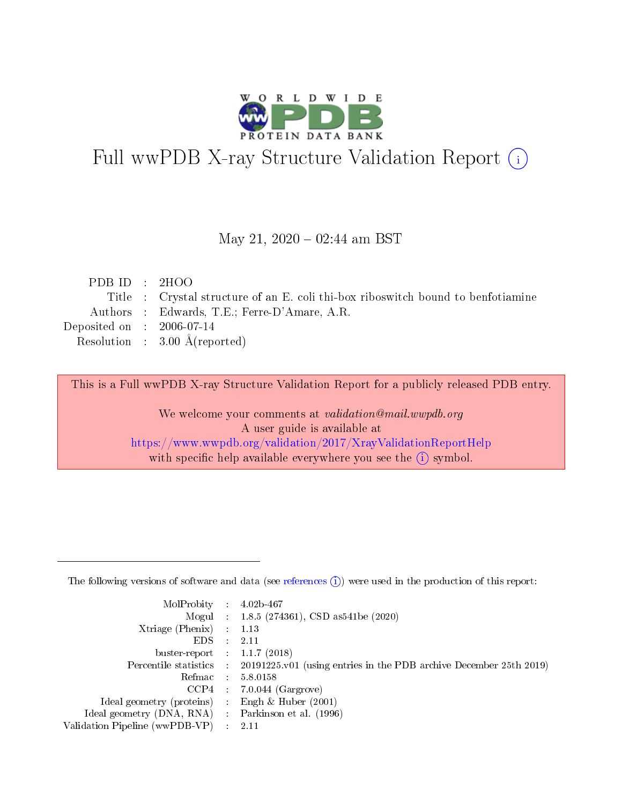

# Full wwPDB X-ray Structure Validation Report (i)

#### May 21,  $2020 - 02:44$  am BST

| PDBID : 2HOO                |                                                                                  |
|-----------------------------|----------------------------------------------------------------------------------|
|                             | Title : Crystal structure of an E. coli thi-box riboswitch bound to benfotiamine |
|                             | Authors : Edwards, T.E.; Ferre-D'Amare, A.R.                                     |
| Deposited on : $2006-07-14$ |                                                                                  |
|                             | Resolution : $3.00 \text{ Å}$ (reported)                                         |

This is a Full wwPDB X-ray Structure Validation Report for a publicly released PDB entry.

We welcome your comments at validation@mail.wwpdb.org A user guide is available at <https://www.wwpdb.org/validation/2017/XrayValidationReportHelp> with specific help available everywhere you see the  $(i)$  symbol.

The following versions of software and data (see [references](https://www.wwpdb.org/validation/2017/XrayValidationReportHelp#references)  $(1)$ ) were used in the production of this report:

| MolProbity :                   |               | $4.02b - 467$                                                               |
|--------------------------------|---------------|-----------------------------------------------------------------------------|
|                                |               | Mogul : $1.8.5$ (274361), CSD as 541be (2020)                               |
| $X$ triage (Phenix) :          |               | 1.13                                                                        |
| EDS.                           |               | 2.11                                                                        |
| buster-report : $1.1.7$ (2018) |               |                                                                             |
| Percentile statistics :        |               | $20191225 \text{v}01$ (using entries in the PDB archive December 25th 2019) |
| Refmac :                       |               | 5.8.0158                                                                    |
| $CCP4$ :                       |               | $7.0.044$ (Gargrove)                                                        |
| Ideal geometry (proteins) :    |               | Engh $\&$ Huber (2001)                                                      |
| Ideal geometry (DNA, RNA) :    |               | Parkinson et al. (1996)                                                     |
| Validation Pipeline (wwPDB-VP) | $\mathcal{L}$ | 2.11                                                                        |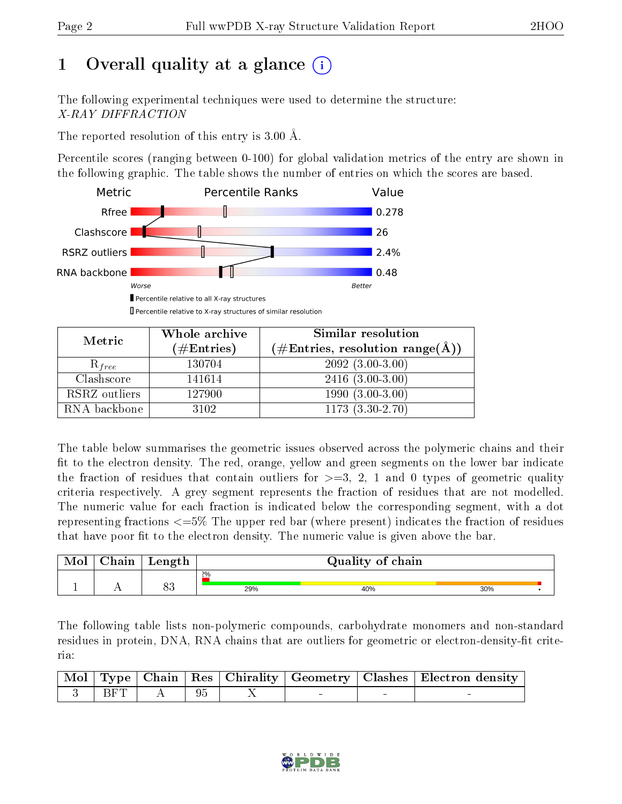# 1 [O](https://www.wwpdb.org/validation/2017/XrayValidationReportHelp#overall_quality)verall quality at a glance  $(i)$

The following experimental techniques were used to determine the structure: X-RAY DIFFRACTION

The reported resolution of this entry is 3.00 Å.

Percentile scores (ranging between 0-100) for global validation metrics of the entry are shown in the following graphic. The table shows the number of entries on which the scores are based.



Percentile relative to X-ray structures of similar resolution

| Metric        | Whole archive | Similar resolution                                          |
|---------------|---------------|-------------------------------------------------------------|
|               | $(\#Entries)$ | $(\# \text{Entries}, \text{ resolution range}(\text{\AA}))$ |
| $R_{free}$    | 130704        | $2092(3.00-3.00)$                                           |
| Clashscore    | 141614        | $2416(3.00-3.00)$                                           |
| RSRZ outliers | 127900        | $1990(3.00-3.00)$                                           |
| RNA backbone  | 3102          | $1173(3.30-2.70)$                                           |

The table below summarises the geometric issues observed across the polymeric chains and their fit to the electron density. The red, orange, yellow and green segments on the lower bar indicate the fraction of residues that contain outliers for  $\geq=3$ , 2, 1 and 0 types of geometric quality criteria respectively. A grey segment represents the fraction of residues that are not modelled. The numeric value for each fraction is indicated below the corresponding segment, with a dot representing fractions  $\epsilon = 5\%$  The upper red bar (where present) indicates the fraction of residues that have poor fit to the electron density. The numeric value is given above the bar.

| Mol | oin<br>пап | Length   | Quality of chain |     |     |  |
|-----|------------|----------|------------------|-----|-----|--|
|     |            |          | $2\%$            |     |     |  |
|     | <u>. .</u> | റി<br>ഠാ | 29%              | 40% | 30% |  |

The following table lists non-polymeric compounds, carbohydrate monomers and non-standard residues in protein, DNA, RNA chains that are outliers for geometric or electron-density-fit criteria:

|  |                                                                                                                                                                                                                                             |  |  | Mol   Type   Chain   Res   Chirality   Geometry   Clashes   Electron density |
|--|---------------------------------------------------------------------------------------------------------------------------------------------------------------------------------------------------------------------------------------------|--|--|------------------------------------------------------------------------------|
|  | $\begin{array}{ c c c c c c } \hline \ \text{\normalsize{1}} & \text{\normalsize{3}} & \text{\normalsize{BFT}} & \text{\normalsize{A}} & \text{\normalsize{1}} & \text{\normalsize{95}} & \text{\textcolor{red}{{1}}} \ \hline \end{array}$ |  |  |                                                                              |

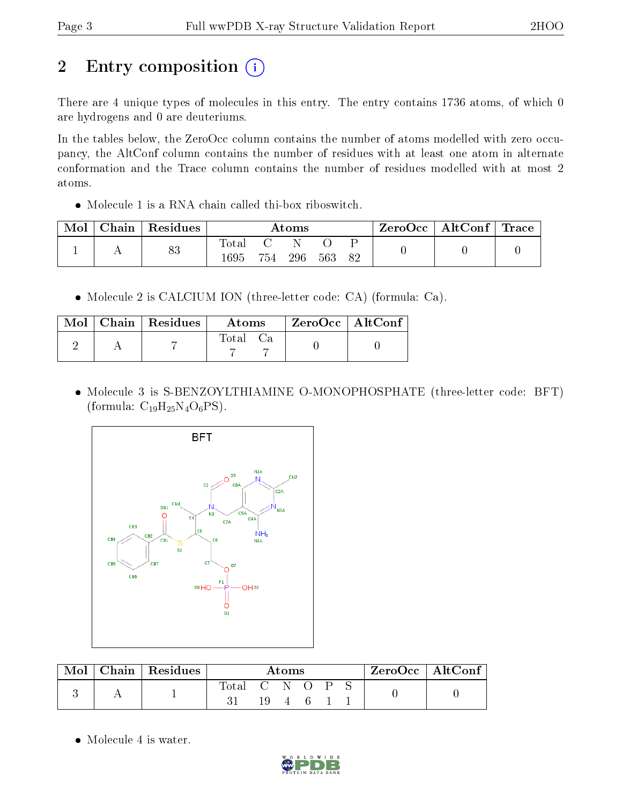# 2 Entry composition (i)

There are 4 unique types of molecules in this entry. The entry contains 1736 atoms, of which 0 are hydrogens and 0 are deuteriums.

In the tables below, the ZeroOcc column contains the number of atoms modelled with zero occupancy, the AltConf column contains the number of residues with at least one atom in alternate conformation and the Trace column contains the number of residues modelled with at most 2 atoms.

Molecule 1 is a RNA chain called thi-box riboswitch.

| Mol | ${\rm Chain}$ | Residues | $\rm{Atoms}$  |     |     |     |    | $\text{ZeroOcc} \mid \text{AltConf} \mid \text{Trace} \mid$ |  |
|-----|---------------|----------|---------------|-----|-----|-----|----|-------------------------------------------------------------|--|
|     |               | 83       | Totar<br>1695 | 754 | 296 | 563 | 82 |                                                             |  |

Molecule 2 is CALCIUM ION (three-letter code: CA) (formula: Ca).

|  | Mol   Chain   Residues | <b>Atoms</b> | $\mid$ ZeroOcc $\mid$ AltConf $\mid$ |  |
|--|------------------------|--------------|--------------------------------------|--|
|  |                        | Total Ca     |                                      |  |

 Molecule 3 is S-BENZOYLTHIAMINE O-MONOPHOSPHATE (three-letter code: BFT) (formula:  $C_{19}H_{25}N_4O_6PS$ ).



| $\bf{Mol}$ | $\mid$ Chain $\mid$ Residues | Atoms       |     |          | $ZeroOcc \   \$ AltConf |  |  |  |
|------------|------------------------------|-------------|-----|----------|-------------------------|--|--|--|
|            |                              | Total C N O | 19. | $\sim$ 4 | $-6$ $-$                |  |  |  |

• Molecule 4 is water.

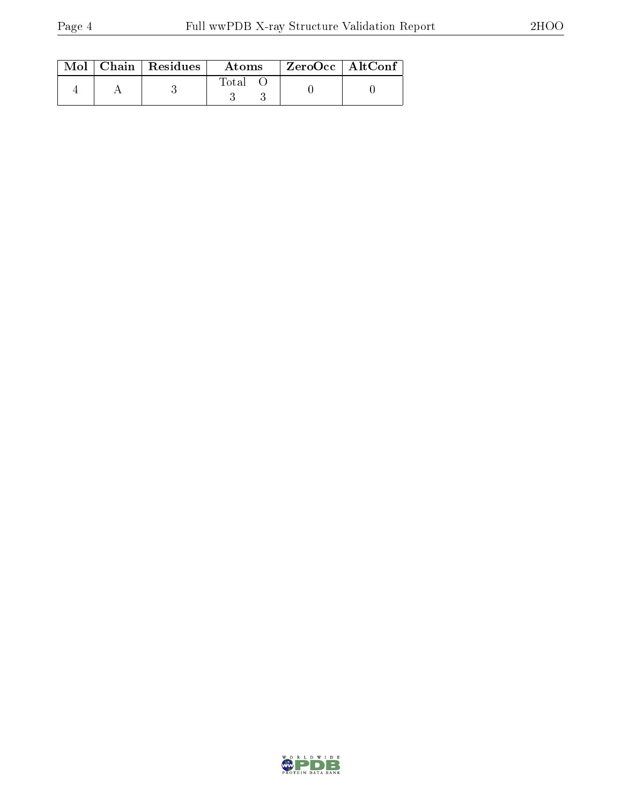|  | $Mol$   Chain   Residues | Atoms | ZeroOcc   AltConf |  |
|--|--------------------------|-------|-------------------|--|
|  |                          | Total |                   |  |

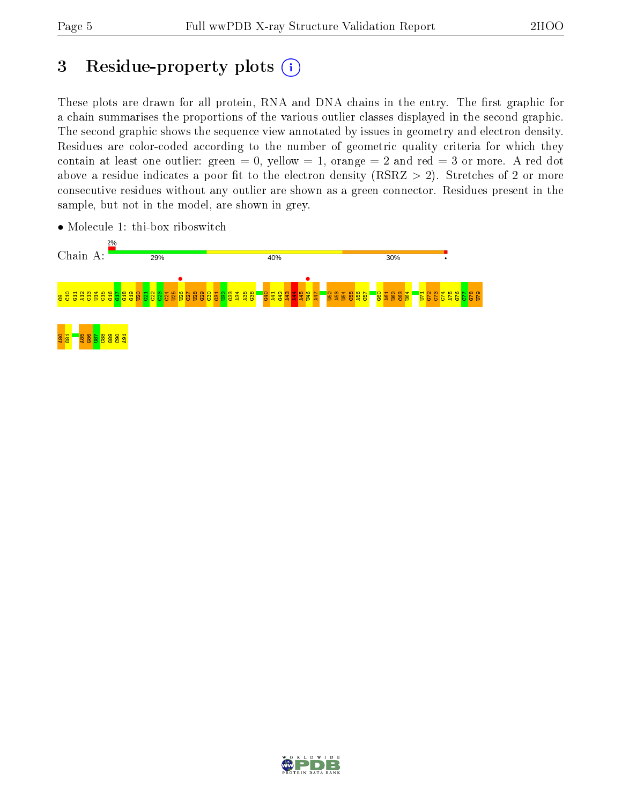# 3 Residue-property plots (i)

These plots are drawn for all protein, RNA and DNA chains in the entry. The first graphic for a chain summarises the proportions of the various outlier classes displayed in the second graphic. The second graphic shows the sequence view annotated by issues in geometry and electron density. Residues are color-coded according to the number of geometric quality criteria for which they contain at least one outlier: green  $= 0$ , yellow  $= 1$ , orange  $= 2$  and red  $= 3$  or more. A red dot above a residue indicates a poor fit to the electron density (RSRZ  $> 2$ ). Stretches of 2 or more consecutive residues without any outlier are shown as a green connector. Residues present in the sample, but not in the model, are shown in grey.



• Molecule 1: thi-box riboswitch

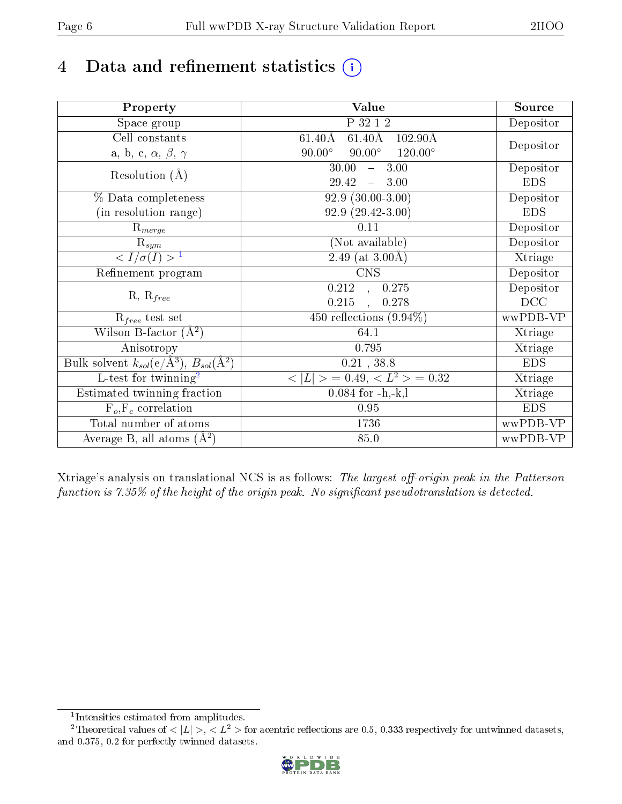# 4 Data and refinement statistics  $(i)$

| Property                                                   | Value                                                        | Source     |
|------------------------------------------------------------|--------------------------------------------------------------|------------|
| Space group                                                | P 32 1 2                                                     | Depositor  |
| Cell constants                                             | $61.40\text{\AA}$<br>$102.90\text{\AA}$<br>$61.40\text{\AA}$ |            |
| a, b, c, $\alpha$ , $\beta$ , $\gamma$                     | $90.00^\circ$<br>$90.00^\circ$<br>$120.00^\circ$             | Depositor  |
| Resolution $(A)$                                           | 30.00<br>3.00<br>$\frac{1}{2}$                               | Depositor  |
|                                                            | 29.42<br>3.00<br>$\equiv$                                    | <b>EDS</b> |
| % Data completeness                                        | $92.9(30.00-3.00)$                                           | Depositor  |
| (in resolution range)                                      | $92.9(29.42-3.00)$                                           | <b>EDS</b> |
| $R_{merge}$                                                | $0.11\,$                                                     | Depositor  |
| $\mathrm{R}_{sym}$                                         | (Not available)                                              | Depositor  |
| $\langle I/\sigma(I) \rangle^{-1}$                         | 2.49 (at $3.00\text{\AA}$ )                                  | Xtriage    |
| Refinement program                                         | <b>CNS</b>                                                   | Depositor  |
|                                                            | 0.212<br>0.275<br>$\overline{a}$                             | Depositor  |
| $R, R_{free}$                                              | 0.215<br>0.278                                               | DCC        |
| $R_{free}$ test set                                        | 450 reflections $(9.94\%)$                                   | wwPDB-VP   |
| Wilson B-factor $(A^2)$                                    | 64.1                                                         | Xtriage    |
| Anisotropy                                                 | 0.795                                                        | Xtriage    |
| Bulk solvent $k_{sol}$ (e/Å <sup>3</sup> ), $B_{sol}(A^2)$ | 0.21, 38.8                                                   | <b>EDS</b> |
| $\overline{L-test for}$ twinning <sup>2</sup>              | $< L >$ = 0.49, $< L2$ = 0.32                                | Xtriage    |
| Estimated twinning fraction                                | $0.084$ for $-h,-k,l$                                        | Xtriage    |
| $F_o, F_c$ correlation                                     | 0.95                                                         | <b>EDS</b> |
| Total number of atoms                                      | 1736                                                         | wwPDB-VP   |
| Average B, all atoms $(A^2)$                               | 85.0                                                         | wwPDB-VP   |

Xtriage's analysis on translational NCS is as follows: The largest off-origin peak in the Patterson function is  $7.35\%$  of the height of the origin peak. No significant pseudotranslation is detected.

<sup>&</sup>lt;sup>2</sup>Theoretical values of  $\langle |L| \rangle$ ,  $\langle L^2 \rangle$  for acentric reflections are 0.5, 0.333 respectively for untwinned datasets, and 0.375, 0.2 for perfectly twinned datasets.



<span id="page-5-1"></span><span id="page-5-0"></span><sup>1</sup> Intensities estimated from amplitudes.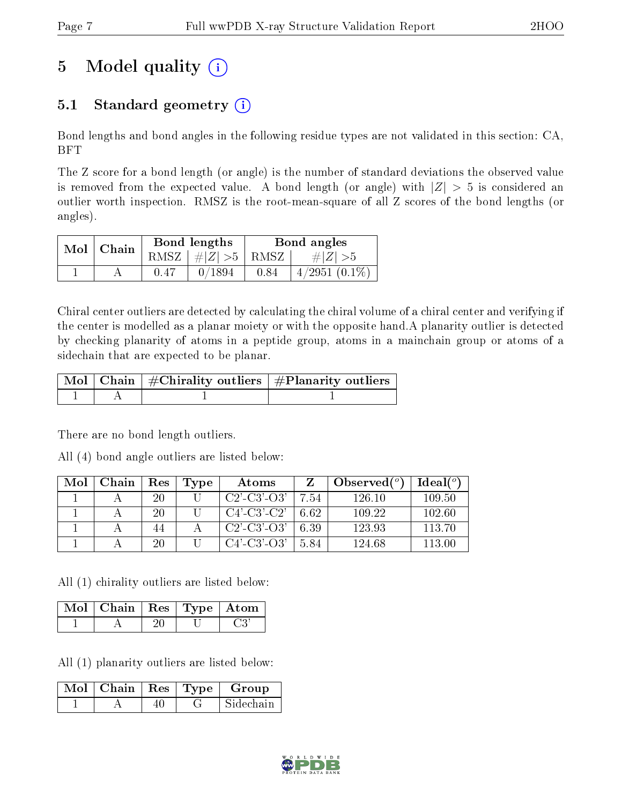# 5 Model quality  $(i)$

## 5.1 Standard geometry  $(i)$

Bond lengths and bond angles in the following residue types are not validated in this section: CA, BFT

The Z score for a bond length (or angle) is the number of standard deviations the observed value is removed from the expected value. A bond length (or angle) with  $|Z| > 5$  is considered an outlier worth inspection. RMSZ is the root-mean-square of all Z scores of the bond lengths (or angles).

| $Mol$   Chain |      | Bond lengths                            | Bond angles |                 |  |
|---------------|------|-----------------------------------------|-------------|-----------------|--|
|               |      | RMSZ $\mid \#  Z  > 5 \mid$ RMSZ $\mid$ |             | $\# Z  > 5$     |  |
|               | 0.47 | 0/1894                                  | 0.84        | $4/2951(0.1\%)$ |  |

Chiral center outliers are detected by calculating the chiral volume of a chiral center and verifying if the center is modelled as a planar moiety or with the opposite hand.A planarity outlier is detected by checking planarity of atoms in a peptide group, atoms in a mainchain group or atoms of a sidechain that are expected to be planar.

|  | $\mid$ Mol $\mid$ Chain $\mid$ #Chirality outliers $\mid$ #Planarity outliers $\mid$ |
|--|--------------------------------------------------------------------------------------|
|  |                                                                                      |

There are no bond length outliers.

All (4) bond angle outliers are listed below:

| Mol | Chain | <b>Res</b> | Type | Atoms                 |      | Observed $(^\circ)$ | Ideal $(°)$ |
|-----|-------|------------|------|-----------------------|------|---------------------|-------------|
|     |       | 20         |      | $C2'$ - $C3'$ - $O3'$ | 7.54 | 126.10              | 109.50      |
|     |       | 20         |      | $C4'$ -C3'-C2'        | 6.62 | 109.22              | 102.60      |
|     |       | 44         |      | $C2'$ - $C3'$ - $O3'$ | 6.39 | 123.93              | 113 70      |
|     |       | 20         |      | $C4'$ - $C3'$ - $O3'$ | 5.84 | 124.68              | 113.00      |

All (1) chirality outliers are listed below:

| $\vert$ Mol $\vert$ Chain $\vert$ Res $\vert$ Type $\vert$ Atom |  |  |
|-----------------------------------------------------------------|--|--|
|                                                                 |  |  |

All (1) planarity outliers are listed below:

| Mol   Chain   Res   Type |  | Group     |
|--------------------------|--|-----------|
|                          |  | Sidechain |

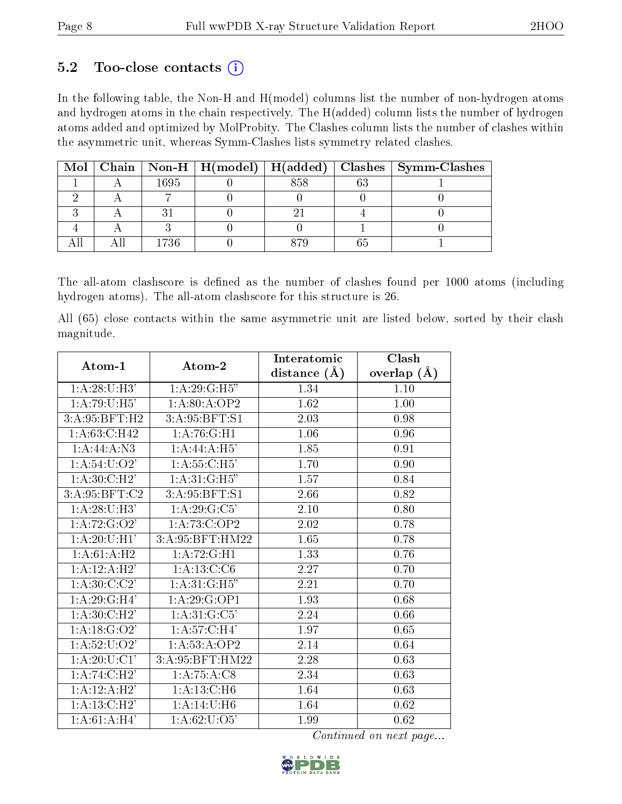### 5.2 Too-close contacts  $(i)$

In the following table, the Non-H and H(model) columns list the number of non-hydrogen atoms and hydrogen atoms in the chain respectively. The H(added) column lists the number of hydrogen atoms added and optimized by MolProbity. The Clashes column lists the number of clashes within the asymmetric unit, whereas Symm-Clashes lists symmetry related clashes.

|  |      | Mol   Chain   Non-H   H(model)   H(added) |    | Clashes   Symm-Clashes |
|--|------|-------------------------------------------|----|------------------------|
|  | 1695 |                                           | ፍና |                        |
|  |      |                                           |    |                        |
|  |      |                                           |    |                        |
|  |      |                                           |    |                        |
|  | 1736 |                                           |    |                        |

The all-atom clashscore is defined as the number of clashes found per 1000 atoms (including hydrogen atoms). The all-atom clashscore for this structure is 26.

All (65) close contacts within the same asymmetric unit are listed below, sorted by their clash magnitude.

| Atom-1                   | Atom-2                    | Interatomic    | Clash         |
|--------------------------|---------------------------|----------------|---------------|
|                          |                           | distance $(A)$ | overlap $(A)$ |
| 1: A:28:U:H3'            | 1:A:29:G:H5"              | 1.34           | 1.10          |
| 1: A:79:U:H5'            | 1:A:80:A:OP2              | 1.62           | 1.00          |
| 3:A:95:BFT:H2            | 3: A:95: BFT: S1          | 2.03           | 0.98          |
| 1:A:63:C:H42             | 1: A:76: G:H1             | 1.06           | 0.96          |
| 1:A:44:A:N3              | 1: A:44: A:H5'            | 1.85           | 0.91          |
| 1: A:54:U:O2'            | 1: A:55:C:H5'             | 1.70           | 0.90          |
| 1: A:30:C:H2'            | 1:A:31:G:H5"              | 1.57           | 0.84          |
| 3: A:95: BFT: C2         | 3:A:95:BFT:S1             | 2.66           | 0.82          |
| 1: A:28:U:H3'            | 1:A:29:G:C5'              | 2.10           | 0.80          |
| 1: A: 72: G: O2'         | 1:A:73:C:OP2              | 2.02           | 0.78          |
| 1: A:20:U:HI'            | 3:A:95:BFT:HM22           | 1.65           | 0.78          |
| 1:A:61:A:H2              | 1:A:72:G:H1               | 1.33           | 0.76          |
| 1:A:12:A:H2'             | 1: A: 13: C: C6           | 2.27           | 0.70          |
| 1: A:30: C: C2'          | 1:A:31:G:H5"              | 2.21           | 0.70          |
| 1:A:29:G:H4'             | 1:A:29:G:OP1              | 1.93           | 0.68          |
| 1: A:30:C:H2'            | 1:A:31:G:C5'              | 2.24           | 0.66          |
| 1: A: 18: G: O2'         | 1: A:57: C:H <sub>4</sub> | 1.97           | 0.65          |
| 1: A: 52: U: O2'         | $1:A:5\overline{3:A:OP2}$ | 2.14           | 0.64          |
| 1:A:20:U:Cl <sup>7</sup> | 3:A:95:BFT:HM22           | 2.28           | 0.63          |
| 1: A:74:C:H2'            | 1: A: 75: A: C8           | 2.34           | 0.63          |
| 1:A:12:A:H2'             | 1:A:13:C:H6               | 1.64           | 0.63          |
| 1: A:13:C:H2'            | 1:A:14:U:H6               | 1.64           | 0.62          |
| 1: A:61:A:H4'            | 1: A:62:U:O5'             | 1.99           | 0.62          |

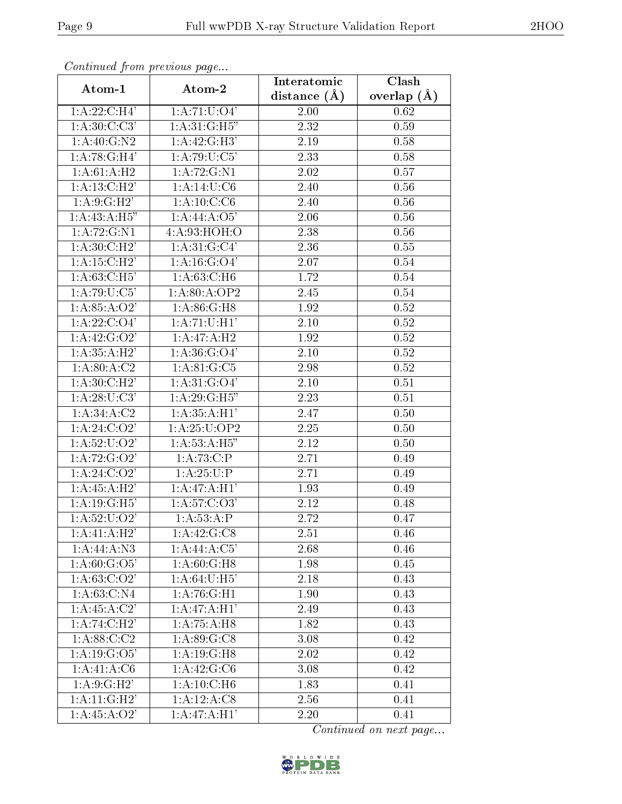| Continuati pom previous page<br>Atom-1 | Atom-2                      | Interatomic<br>distance $(A)$ | Clash<br>overlap $(A)$ |
|----------------------------------------|-----------------------------|-------------------------------|------------------------|
| 1:A:22:C:H4'                           | 1:A:71:U:O4'                | 2.00                          | 0.62                   |
| 1: A:30: C: C3'                        | 1: A:31:G:H5"               | 2.32                          | 0.59                   |
| 1:A:40:G:N2                            | 1:A:42:G:H3'                | $2.19\,$                      | 0.58                   |
| 1:A:78:G:H4'                           | 1: A:79: U: C5'             | 2.33                          | 0.58                   |
| 1:A:61:A:H2                            | 1:A:72:G:N1                 | 2.02                          | 0.57                   |
| 1:A:13:C:H2'                           | 1: A: 14: U: C6             | 2.40                          | 0.56                   |
| 1:A:9:G:H2'                            | 1: A:10:C:C6                | 2.40                          | 0.56                   |
| 1:A:43:A:H5"                           | 1:A:44:A:O5'                | 2.06                          | 0.56                   |
| 1:A:72:G:N1                            | 4:A:93:HOH:O                | 2.38                          | 0.56                   |
| 1: A:30:C:H2'                          | 1: A:31: G: C4'             | 2.36                          | 0.55                   |
| 1: A:15:C:H2'                          | 1:A:16:G:O4'                | 2.07                          | 0.54                   |
| 1: A:63: C:H5'                         | 1: A:63: C:H6               | 1.72                          | 0.54                   |
| $1:A:79:\overline{U:C5'}$              | 1: A:80:A:OP2               | 2.45                          | 0.54                   |
| 1:A:85:A:O2'                           | $1:A:86:G:\overline{H8}$    | 1.92                          | 0.52                   |
| 1: A: 22: C: O4'                       | 1: A: 71: U: H1'            | 2.10                          | 0.52                   |
| 1: A:42: G:O2'                         | 1:A:47:A:H2                 | 1.92                          | 0.52                   |
| $1:\overline{A:35:A:H2'}$              | $1: A:36: \overline{G:O4'}$ | 2.10                          | 0.52                   |
| 1: A:80:A:C2                           | 1: A:81: G: C5              | 2.98                          | 0.52                   |
| 1: A:30:C:H2'                          | 1: A:31: G:O4'              | 2.10                          | 0.51                   |
| 1: A:28:U:C3'                          | 1: A:29: G:H5"              | 2.23                          | 0.51                   |
| $1:A:34.\overline{A:C2}$               | 1: A: 35: A: H1'            | 2.47                          | 0.50                   |
| 1: A:24: C:O2'                         | 1: A:25:U:OP2               | 2.25                          | 0.50                   |
| 1: A:52: U:O2'                         | 1: A:53:A:H5"               | 2.12                          | 0.50                   |
| 1: A: 72: G: O2'                       | 1:A:73:C:P                  | 2.71                          | 0.49                   |
| 1: A:24: C:O2'                         | 1:A:25:U:P                  | 2.71                          | 0.49                   |
| 1:A:45:A:H2'                           | 1: A:47: A:H1'              | 1.93                          | 0.49                   |
| 1:A:19:G:H5'                           | 1: A: 57: C: O3'            | 2.12                          | 0.48                   |
| 1: A: 52: U: O2'                       | $1:\overline{A:53:A:P}$     | 2.72                          | 0.47                   |
| 1: A:41:A:H2'                          | $1:A:42:G\overline{G}$      | 2.51                          | 0.46                   |
| 1:A:44:A:N3                            | 1:A:44:A:C5'                | 2.68                          | 0.46                   |
| 1: A:60: G:O5'                         | 1: A:60: G:H8               | 1.98                          | 0.45                   |
| 1: A:63: C:O2'                         | $1: A:64:U:\overline{H5'}$  | 2.18                          | 0.43                   |
| 1:A:63:C:N4                            | $1:A:76:G:\overline{H1}$    | 1.90                          | 0.43                   |
| 1:A:45:A:C2'                           | 1: A:47:A:H1'               | 2.49                          | 0.43                   |
| $1:A:74:C:\overline{H2'}$              | 1:A:75:A:H8                 | 1.82                          | 0.43                   |
| 1: A:88: C:C2                          | 1: A:89: G: C8              | 3.08                          | 0.42                   |
| $1:A:19:G\overline{.O5'}$              | 1:A:19:G:H8                 | 2.02                          | 0.42                   |
| 1:A:41:A:C6                            | 1:A:42:G:C6                 | 3.08                          | 0.42                   |
| 1: A:9: G:H2'                          | 1: A: 10: C: H6             | 1.83                          | 0.41                   |
| 1: A:11: G:H2'                         | 1:A:12:A:C8                 | 2.56                          | 0.41                   |
| 1: A:45:A:O2'                          | 1:A:47:A:H1'                | $2.20\,$                      | 0.41                   |

Continued from previous page.

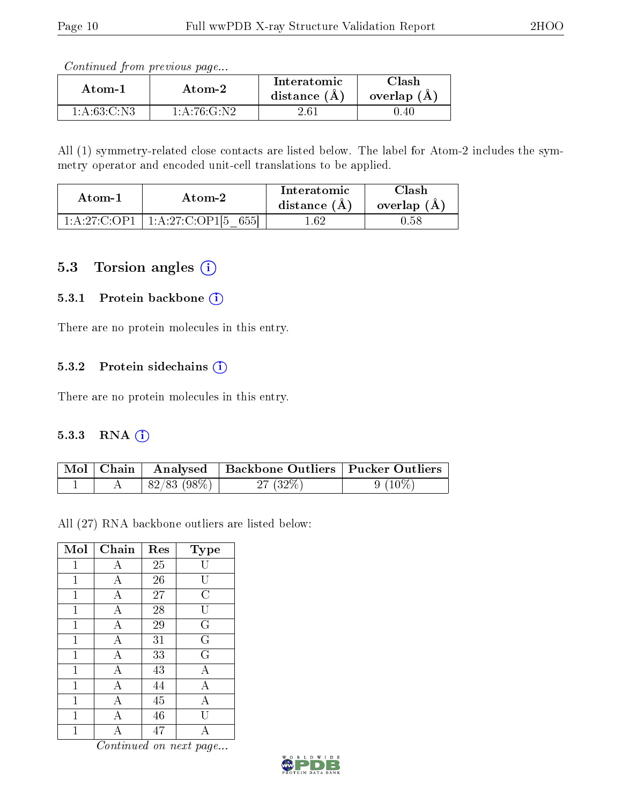Continued from previous page...

| Atom-1      | Atom-2                      | Interatomic<br>distance $(A)$ | 7lash<br>overlap $(A)$ |
|-------------|-----------------------------|-------------------------------|------------------------|
| 1:A:63:C:N3 | $-1:$ A:76: $\rm G\cdot N2$ | -61                           | D.40                   |

All (1) symmetry-related close contacts are listed below. The label for Atom-2 includes the symmetry operator and encoded unit-cell translations to be applied.

| Atom-1          | Atom-2              | Interatomic<br>distance $(A)$ | Clash<br>overlap $(A)$ |
|-----------------|---------------------|-------------------------------|------------------------|
| 1: A:27: C: OP1 | 1:A:27:C:OP1[5 655] | - 62                          | J.58                   |

### 5.3 Torsion angles (i)

#### 5.3.1 Protein backbone (i)

There are no protein molecules in this entry.

#### 5.3.2 Protein sidechains (i)

There are no protein molecules in this entry.

#### 5.3.3 RNA [O](https://www.wwpdb.org/validation/2017/XrayValidationReportHelp#rna)i

|  |            | Mol   Chain   Analysed   Backbone Outliers   Pucker Outliers |           |
|--|------------|--------------------------------------------------------------|-----------|
|  | 82/83(98%) | 27 (32%)                                                     | $9(10\%)$ |

All (27) RNA backbone outliers are listed below:

| Mol            | Chain                     | Res             | <b>Type</b>    |
|----------------|---------------------------|-----------------|----------------|
| $\mathbf{1}$   | А                         | 25              |                |
| 1              | А                         | 26              | ŢΤ             |
| $\overline{1}$ | $\boldsymbol{\mathrm{A}}$ | 27              | C              |
| $\mathbf 1$    | Α                         | 28              | U              |
| 1              | А                         | $\overline{29}$ | $\overline{G}$ |
| $\mathbf 1$    | $\overline{A}$            | 31              | $\overline{G}$ |
| $\mathbf{1}$   | А                         | 33              | $\overline{G}$ |
| $\mathbf{1}$   | А                         | 43              | А              |
| $\mathbf 1$    | А                         | 44              | А              |
| 1              | Α                         | 45              | Α              |
| 1              | А                         | 46              |                |
|                | А                         | 47              | А              |

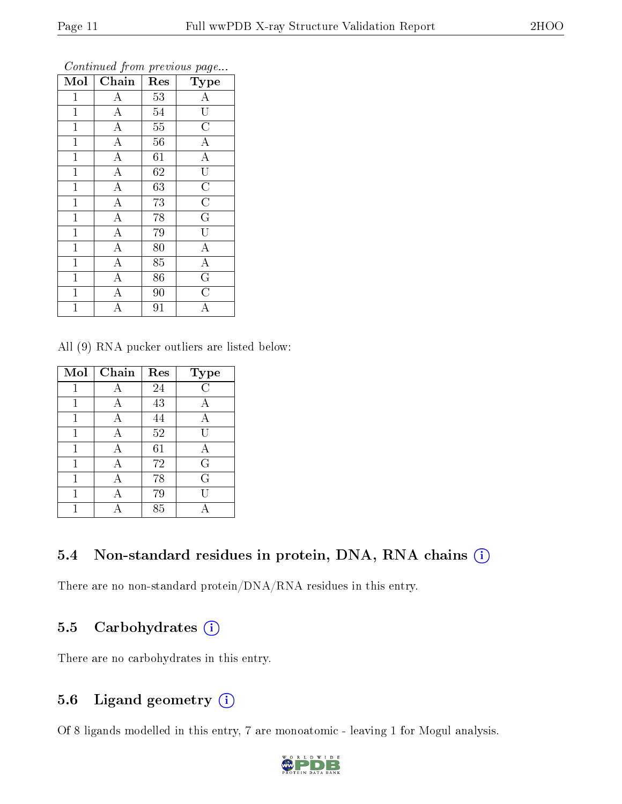| Mol          | Chain              | Res             | $\mathrm{Type}$                     |
|--------------|--------------------|-----------------|-------------------------------------|
| $\mathbf{1}$ | $\overline{A}$     | 53              | $\overline{A}$                      |
| $\mathbf{1}$ | $\overline{A}$     | 54              | $\overline{\mathrm{U}}$             |
| $\mathbf 1$  | $\overline{A}$     | $\overline{55}$ | $\overline{C}$                      |
| $\mathbf{1}$ | $\overline{A}$     | 56              | $\frac{\overline{A}}{\overline{A}}$ |
| $\mathbf{1}$ | $\overline{A}$     | $\overline{61}$ |                                     |
| $\mathbf 1$  | $\overline{A}$     | 62              | $\overline{\mathrm{U}}$             |
| $\mathbf 1$  | $\overline{A}$     | 63              | $\overline{\rm C}$                  |
| $\mathbf{1}$ | $\overline{A}$     | 73              | $\overline{C}$                      |
| $\mathbf 1$  | $\overline{A}$     | 78              | $\overline{\mathrm{G}}$             |
| $\mathbf{1}$ | $\overline{A}$     | 79              | $\overline{\overline{\mathrm{U}}}$  |
| $\mathbf{1}$ | $\overline{A}$     | 80              | $\overline{A}$                      |
| $\mathbf 1$  | $\overline{A}$     | 85              | $\overline{A}$                      |
| $\mathbf{1}$ | $\overline{A}$     | 86              | $\overline{\mathbf{G}}$             |
| $\mathbf 1$  | $\overline{\rm A}$ | 90              | $\overline{\text{C}}$               |
| 1            | А                  | 91              | А                                   |

Continued from previous page...

All (9) RNA pucker outliers are listed below:

| Mol | Chain | Res    | Type        |
|-----|-------|--------|-------------|
|     | A     | 24     | C           |
|     | А     | 43     |             |
| 1   | А     | 44     | А           |
| 1   | Α     | $52\,$ | ŢΤ          |
| 1   | Α     | 61     | А           |
|     | А     | 72     | $\mathbf G$ |
|     |       | 78     | $\mathbf G$ |
|     | А     | 79     |             |
|     |       | 85     |             |

### 5.4 Non-standard residues in protein, DNA, RNA chains  $(i)$

There are no non-standard protein/DNA/RNA residues in this entry.

### 5.5 Carbohydrates (i)

There are no carbohydrates in this entry.

### 5.6 Ligand geometry (i)

Of 8 ligands modelled in this entry, 7 are monoatomic - leaving 1 for Mogul analysis.

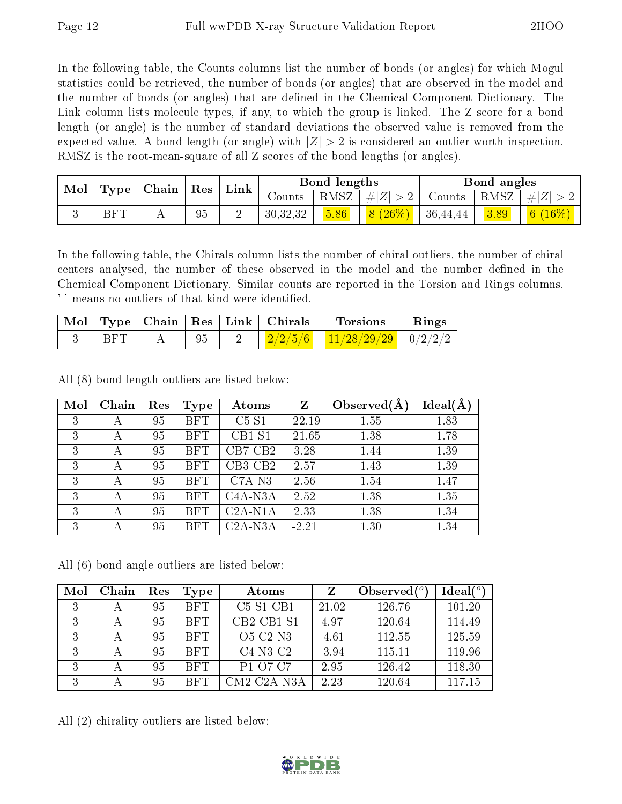In the following table, the Counts columns list the number of bonds (or angles) for which Mogul statistics could be retrieved, the number of bonds (or angles) that are observed in the model and the number of bonds (or angles) that are dened in the Chemical Component Dictionary. The Link column lists molecule types, if any, to which the group is linked. The Z score for a bond length (or angle) is the number of standard deviations the observed value is removed from the expected value. A bond length (or angle) with  $|Z| > 2$  is considered an outlier worth inspection. RMSZ is the root-mean-square of all Z scores of the bond lengths (or angles).

| Mol | <b>Type</b> | Chain | $\mid$ Res | Link | Bond lengths |      |           | Bond angles |      |           |
|-----|-------------|-------|------------|------|--------------|------|-----------|-------------|------|-----------|
|     |             |       |            |      | Counts       | RMSZ | $\# Z $   | Counts      | RMSZ | $\pm  Z $ |
|     | BFT         |       | 95         |      | 30,32,32     | 5.86 | $8(26\%)$ | 36,44,44    | 3.89 | 6 (       |

In the following table, the Chirals column lists the number of chiral outliers, the number of chiral centers analysed, the number of these observed in the model and the number defined in the Chemical Component Dictionary. Similar counts are reported in the Torsion and Rings columns. '-' means no outliers of that kind were identified.

|            |    | Mol   Type   Chain   Res   Link   Chirals | <b>Torsions</b>                                             | $\parallel$ Rings |
|------------|----|-------------------------------------------|-------------------------------------------------------------|-------------------|
| <b>BFT</b> | 95 |                                           | $\frac{2}{2/2/5/6}$ $\frac{11}{28/29/29}$ $\frac{0}{2/2/2}$ |                   |

All (8) bond length outliers are listed below:

| Mol | Chain | Res | Type       | Atoms     | Z        | Observed $(A$ | $Ideal(\AA)$ |
|-----|-------|-----|------------|-----------|----------|---------------|--------------|
| 3   | А     | 95  | <b>BFT</b> | $C5-S1$   | $-22.19$ | 1.55          | 1.83         |
| 3   | А     | 95  | <b>BFT</b> | $CB1-S1$  | $-21.65$ | 1.38          | 1.78         |
| 3   | А     | 95  | <b>BFT</b> | $CB7-CB2$ | 3.28     | 1.44          | 1.39         |
| 3   | А     | 95  | <b>BFT</b> | $CB3-CB2$ | 2.57     | 1.43          | 1.39         |
| 3   | А     | 95  | <b>BFT</b> | $C7A-N3$  | 2.56     | 1.54          | 1.47         |
| 3   | А     | 95  | <b>BFT</b> | $C4A-NSA$ | 2.52     | 1.38          | 1.35         |
| 3   | А     | 95  | <b>BFT</b> | $C2A-N1A$ | 2.33     | 1.38          | 1.34         |
| 3   | А     | 95  | <b>BFT</b> | $C2A-N3A$ | $-2.21$  | 1.30          | 1.34         |

All (6) bond angle outliers are listed below:

| Mol | Chain | Res | Type       | Atoms                                          |         | Observed $\binom{o}{c}$ | Ideal(°) |
|-----|-------|-----|------------|------------------------------------------------|---------|-------------------------|----------|
| 3   | А     | 95  | <b>BFT</b> | $C5-S1-CB1$                                    | 21.02   | 126.76                  | 101.20   |
| 3   |       | 95  | <b>BFT</b> | $CB2-CB1-S1$                                   | 4.97    | 120.64                  | 114.49   |
| 3   | А     | 95  | <b>BFT</b> | $O5-C2-N3$                                     | $-4.61$ | 112.55                  | 125.59   |
| 3   |       | 95  | <b>BFT</b> | $C4-N3-C2$                                     | $-3.94$ | 115.11                  | 119.96   |
| 3   | А     | 95  | <b>BFT</b> | P <sub>1</sub> -O <sub>7</sub> -C <sub>7</sub> | 2.95    | 126.42                  | 118.30   |
| 3   |       | 95  | <b>BFT</b> | $CM2$ -C <sub>2</sub> A-N <sub>3</sub> A       | 2.23    | 120.64                  | 117.15   |

All (2) chirality outliers are listed below:

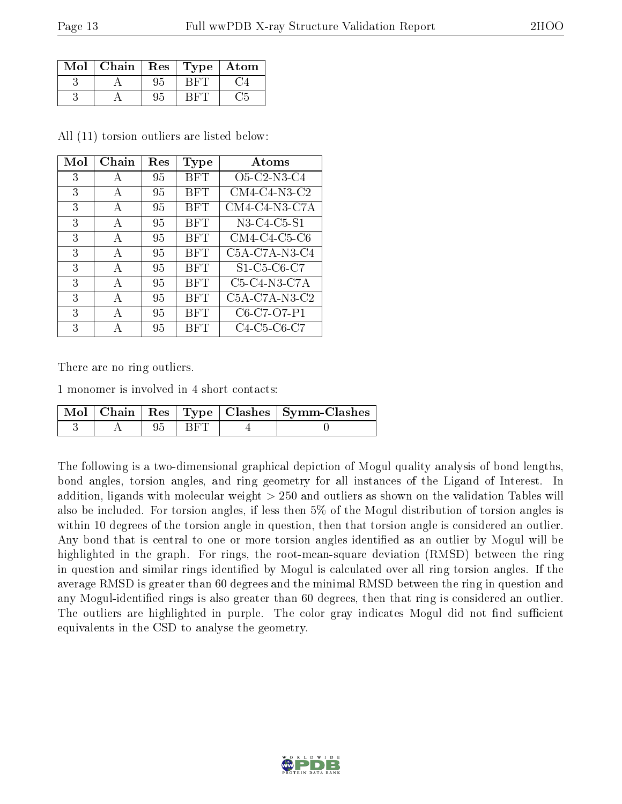| Mol | ${\bf Chain}$ | $\mid$ Res | Type | $\bold{Atom}$ |
|-----|---------------|------------|------|---------------|
|     |               |            |      |               |
|     |               |            |      |               |

All (11) torsion outliers are listed below:

| Mol | Chain        | Res | Type       | Atoms                                                          |
|-----|--------------|-----|------------|----------------------------------------------------------------|
| 3   | A            | 95  | BFT        | O <sub>5</sub> -C <sub>2</sub> -N <sub>3</sub> -C <sub>4</sub> |
| 3   | A            | 95  | <b>BFT</b> | $CM4$ -C4-N3-C2                                                |
| 3   | A            | 95  | <b>BFT</b> | $CM4$ -C4-N3-C7A                                               |
| 3   | $\mathbf{A}$ | 95  | <b>BFT</b> | N3-C4-C5-S1                                                    |
| 3   | A            | 95  | BFT        | $CM4$ -C <sub>4</sub> -C <sub>5</sub> -C <sub>6</sub>          |
| 3   | A            | 95  | BFT        | $C5A-C7A-N3-C4$                                                |
| 3   | $\mathbf{A}$ | 95  | <b>BFT</b> | S1-C5-C6-C7                                                    |
| 3   | $\mathbf{A}$ | 95  | <b>BFT</b> | $C5-C4-N3-C7A$                                                 |
| 3   | $\mathbf{A}$ | 95  | BFT        | $C5A-C7A-N3-C2$                                                |
| 3   | $\mathbf{A}$ | 95  | <b>BFT</b> | C6-C7-O7-P1                                                    |
| 3   | А            | 95  | <b>BFT</b> | C4-C5-C6-C7                                                    |

There are no ring outliers.

1 monomer is involved in 4 short contacts:

|  |       | $\mid$ Mol $\mid$ Chain $\mid$ Res $\mid$ Type $\mid$ Clashes $\mid$ Symm-Clashes $\mid$ |
|--|-------|------------------------------------------------------------------------------------------|
|  | t Bet |                                                                                          |

The following is a two-dimensional graphical depiction of Mogul quality analysis of bond lengths, bond angles, torsion angles, and ring geometry for all instances of the Ligand of Interest. In addition, ligands with molecular weight > 250 and outliers as shown on the validation Tables will also be included. For torsion angles, if less then 5% of the Mogul distribution of torsion angles is within 10 degrees of the torsion angle in question, then that torsion angle is considered an outlier. Any bond that is central to one or more torsion angles identified as an outlier by Mogul will be highlighted in the graph. For rings, the root-mean-square deviation (RMSD) between the ring in question and similar rings identified by Mogul is calculated over all ring torsion angles. If the average RMSD is greater than 60 degrees and the minimal RMSD between the ring in question and any Mogul-identified rings is also greater than 60 degrees, then that ring is considered an outlier. The outliers are highlighted in purple. The color gray indicates Mogul did not find sufficient equivalents in the CSD to analyse the geometry.

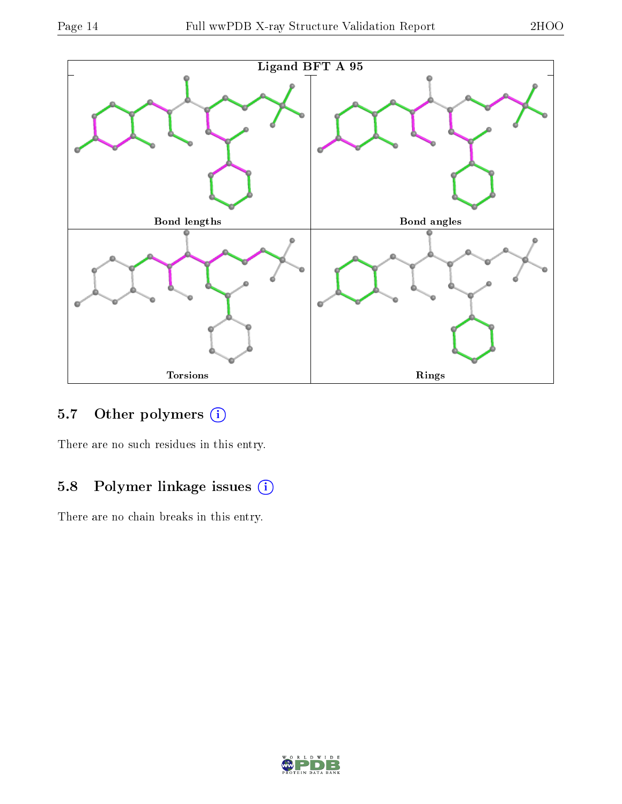

### 5.7 [O](https://www.wwpdb.org/validation/2017/XrayValidationReportHelp#nonstandard_residues_and_ligands)ther polymers (i)

There are no such residues in this entry.

## 5.8 Polymer linkage issues (i)

There are no chain breaks in this entry.

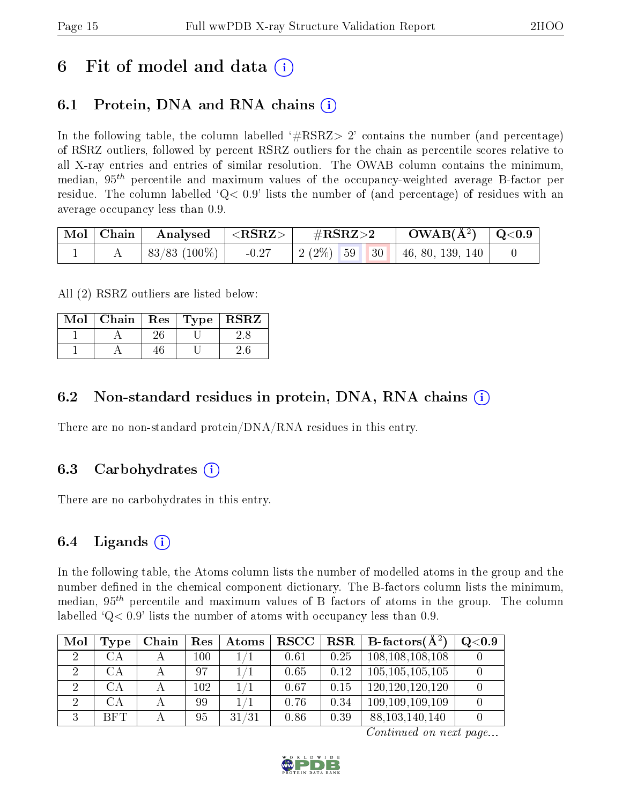## 6 Fit of model and data  $\left( \cdot \right)$

## 6.1 Protein, DNA and RNA chains (i)

In the following table, the column labelled  $#RSRZ>2'$  contains the number (and percentage) of RSRZ outliers, followed by percent RSRZ outliers for the chain as percentile scores relative to all X-ray entries and entries of similar resolution. The OWAB column contains the minimum, median,  $95<sup>th</sup>$  percentile and maximum values of the occupancy-weighted average B-factor per residue. The column labelled  $Q< 0.9$  lists the number of (and percentage) of residues with an average occupancy less than 0.9.

| $\mid$ Mol $\mid$ Chain $\mid$ | $\mid$ Analysed $\mid$ <rsrz> <math>\mid</math></rsrz> |         | $\rm \#RSRZ{>}2$ |  | $\rm OWAB(\AA^2)$ $\vert$ Q<0.9     |  |
|--------------------------------|--------------------------------------------------------|---------|------------------|--|-------------------------------------|--|
|                                | $\mid 83/83 \; (100\%) \mid$                           | $-0.27$ |                  |  | $2(2\%)$ 59   30   46, 80, 139, 140 |  |

All (2) RSRZ outliers are listed below:

| Mol <sub>1</sub> | Chain   Res   Type   RSRZ |  |  |
|------------------|---------------------------|--|--|
|                  |                           |  |  |
|                  |                           |  |  |

### 6.2 Non-standard residues in protein, DNA, RNA chains  $(i)$

There are no non-standard protein/DNA/RNA residues in this entry.

### 6.3 Carbohydrates  $(i)$

There are no carbohydrates in this entry.

### 6.4 Ligands  $(i)$

In the following table, the Atoms column lists the number of modelled atoms in the group and the number defined in the chemical component dictionary. The B-factors column lists the minimum, median,  $95<sup>th</sup>$  percentile and maximum values of B factors of atoms in the group. The column labelled  $Q < 0.9$  lists the number of atoms with occupancy less than 0.9.

| Mol            | Type       | Chain | Res | $\Delta t$ oms |      |      | $\vert$ RSCC $\vert$ RSR $\vert$ B-factors( $\rm \AA^2)$ | Q <sub>0.9</sub> |
|----------------|------------|-------|-----|----------------|------|------|----------------------------------------------------------|------------------|
| $\overline{2}$ | CА         |       | 100 |                | 0.61 | 0.25 | 108, 108, 108, 108                                       |                  |
| 2              | CА         |       | 97  |                | 0.65 | 0.12 | 105, 105, 105, 105                                       |                  |
| $\overline{2}$ | CА         |       | 102 |                | 0.67 | 0.15 | 120, 120, 120, 120                                       |                  |
| $\overline{2}$ | CA         |       | 99  |                | 0.76 | 0.34 | 109, 109, 109, 109                                       |                  |
| $\Omega$       | <b>BFT</b> |       | 95  | 31/31          | 0.86 | 0.39 | 88, 103, 140, 140                                        |                  |